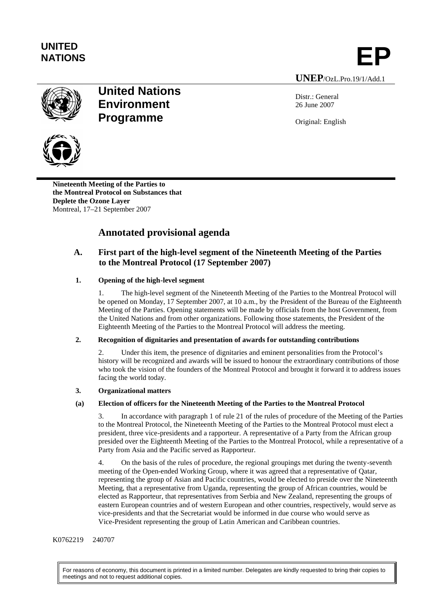

NATIONS **EP** 

**UNEP**/OzL.Pro.19/1/Add.1

Distr.: General 26 June 2007

Original: English



**Environment Programme**

**United Nations**

**Nineteenth Meeting of the Parties to the Montreal Protocol on Substances that Deplete the Ozone Layer** Montreal, 17–21 September 2007

# **Annotated provisional agenda**

# **A. First part of the high-level segment of the Nineteenth Meeting of the Parties to the Montreal Protocol (17 September 2007)**

## **1. Opening of the high-level segment**

1. The high-level segment of the Nineteenth Meeting of the Parties to the Montreal Protocol will be opened on Monday, 17 September 2007, at 10 a.m., by the President of the Bureau of the Eighteenth Meeting of the Parties. Opening statements will be made by officials from the host Government, from the United Nations and from other organizations. Following those statements, the President of the Eighteenth Meeting of the Parties to the Montreal Protocol will address the meeting.

### **2. Recognition of dignitaries and presentation of awards for outstanding contributions**

2. Under this item, the presence of dignitaries and eminent personalities from the Protocol's history will be recognized and awards will be issued to honour the extraordinary contributions of those who took the vision of the founders of the Montreal Protocol and brought it forward it to address issues facing the world today.

### **3. Organizational matters**

### **(a) Election of officers for the Nineteenth Meeting of the Parties to the Montreal Protocol**

3. In accordance with paragraph 1 of rule 21 of the rules of procedure of the Meeting of the Parties to the Montreal Protocol, the Nineteenth Meeting of the Parties to the Montreal Protocol must elect a president, three vice-presidents and a rapporteur. A representative of a Party from the African group presided over the Eighteenth Meeting of the Parties to the Montreal Protocol, while a representative of a Party from Asia and the Pacific served as Rapporteur.

4. On the basis of the rules of procedure, the regional groupings met during the twenty-seventh meeting of the Open-ended Working Group, where it was agreed that a representative of Qatar, representing the group of Asian and Pacific countries, would be elected to preside over the Nineteenth Meeting, that a representative from Uganda, representing the group of African countries, would be elected as Rapporteur, that representatives from Serbia and New Zealand, representing the groups of eastern European countries and of western European and other countries, respectively, would serve as vice-presidents and that the Secretariat would be informed in due course who would serve as Vice-President representing the group of Latin American and Caribbean countries.

### K0762219 240707

For reasons of economy, this document is printed in a limited number. Delegates are kindly requested to bring their copies to meetings and not to request additional copies.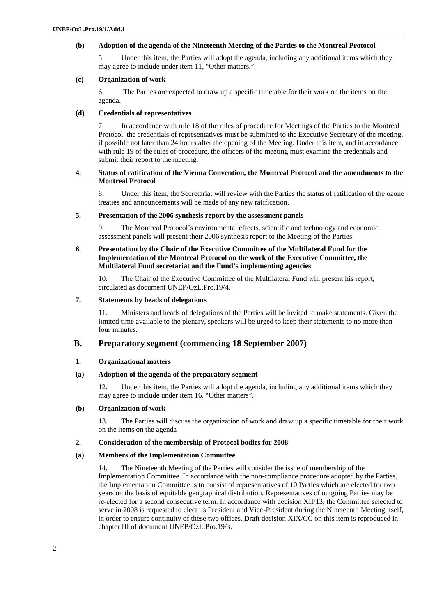### **(b) Adoption of the agenda of the Nineteenth Meeting of the Parties to the Montreal Protocol**

5. Under this item, the Parties will adopt the agenda, including any additional items which they may agree to include under item 11, "Other matters."

### **(c) Organization of work**

6. The Parties are expected to draw up a specific timetable for their work on the items on the agenda.

### **(d) Credentials of representatives**

7. In accordance with rule 18 of the rules of procedure for Meetings of the Parties to the Montreal Protocol, the credentials of representatives must be submitted to the Executive Secretary of the meeting, if possible not later than 24 hours after the opening of the Meeting. Under this item, and in accordance with rule 19 of the rules of procedure, the officers of the meeting must examine the credentials and submit their report to the meeting.

### **4. Status of ratification of the Vienna Convention, the Montreal Protocol and the amendments to the Montreal Protocol**

8. Under this item, the Secretariat will review with the Parties the status of ratification of the ozone treaties and announcements will be made of any new ratification.

### **5. Presentation of the 2006 synthesis report by the assessment panels**

9. The Montreal Protocol's environmental effects, scientific and technology and economic assessment panels will present their 2006 synthesis report to the Meeting of the Parties.

### **6. Presentation by the Chair of the Executive Committee of the Multilateral Fund for the Implementation of the Montreal Protocol on the work of the Executive Committee, the Multilateral Fund secretariat and the Fund's implementing agencies**

10. The Chair of the Executive Committee of the Multilateral Fund will present his report, circulated as document UNEP/OzL.Pro.19/4.

### **7. Statements by heads of delegations**

11. Ministers and heads of delegations of the Parties will be invited to make statements. Given the limited time available to the plenary, speakers will be urged to keep their statements to no more than four minutes.

### **B. Preparatory segment (commencing 18 September 2007)**

### **1. Organizational matters**

### **(a) Adoption of the agenda of the preparatory segment**

12. Under this item, the Parties will adopt the agenda, including any additional items which they may agree to include under item 16, "Other matters".

### **(b) Organization of work**

13. The Parties will discuss the organization of work and draw up a specific timetable for their work on the items on the agenda

### **2. Consideration of the membership of Protocol bodies for 2008**

### **(a) Members of the Implementation Committee**

14. The Nineteenth Meeting of the Parties will consider the issue of membership of the Implementation Committee. In accordance with the non-compliance procedure adopted by the Parties, the Implementation Committee is to consist of representatives of 10 Parties which are elected for two years on the basis of equitable geographical distribution. Representatives of outgoing Parties may be re-elected for a second consecutive term. In accordance with decision XII/13, the Committee selected to serve in 2008 is requested to elect its President and Vice-President during the Nineteenth Meeting itself, in order to ensure continuity of these two offices. Draft decision XIX/CC on this item is reproduced in chapter III of document UNEP/OzL.Pro.19/3.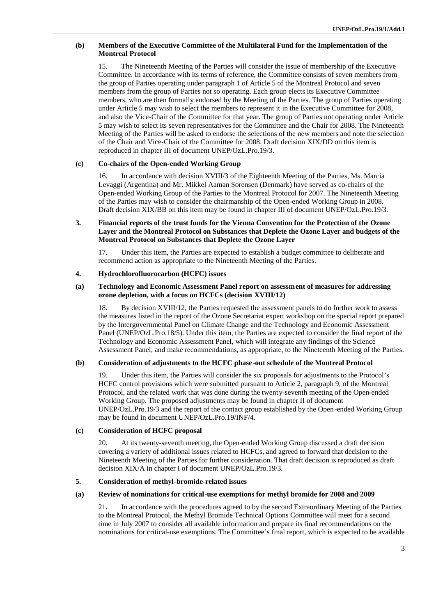### **(b) Members of the Executive Committee of the Multilateral Fund for the Implementation of the Montreal Protocol**

15. The Nineteenth Meeting of the Parties will consider the issue of membership of the Executive Committee. In accordance with its terms of reference, the Committee consists of seven members from the group of Parties operating under paragraph 1 of Article 5 of the Montreal Protocol and seven members from the group of Parties not so operating. Each group elects its Executive Committee members, who are then formally endorsed by the Meeting of the Parties. The group of Parties operating under Article 5 may wish to select the members to represent it in the Executive Committee for 2008, and also the Vice-Chair of the Committee for that year. The group of Parties not operating under Article 5 may wish to select its seven representatives for the Committee and the Chair for 2008. The Nineteenth Meeting of the Parties will be asked to endorse the selections of the new members and note the selection of the Chair and Vice-Chair of the Committee for 2008. Draft decision XIX/DD on this item is reproduced in chapter III of document UNEP/OzL.Pro.19/3.

### **(c) Co-chairs of the Open-ended Working Group**

16. In accordance with decision XVIII/3 of the Eighteenth Meeting of the Parties, Ms. Marcia Levaggi (Argentina) and Mr. Mikkel Aaman Sorensen (Denmark) have served as co-chairs of the Open-ended Working Group of the Parties to the Montreal Protocol for 2007. The Nineteenth Meeting of the Parties may wish to consider the chairmanship of the Open-ended Working Group in 2008. Draft decision XIX/BB on this item may be found in chapter III of document UNEP/OzL.Pro.19/3.

### **3. Financial reports of the trust funds for the Vienna Convention for the Protection of the Ozone Layer and the Montreal Protocol on Substances that Deplete the Ozone Layer and budgets of the Montreal Protocol on Substances that Deplete the Ozone Layer**

17. Under this item, the Parties are expected to establish a budget committee to deliberate and recommend action as appropriate to the Nineteenth Meeting of the Parties.

### **4. Hydrochlorofluorocarbon (HCFC) issues**

### **(a) Technology and Economic Assessment Panel report on assessment of measures for addressing ozone depletion, with a focus on HCFCs (decision XVIII/12)**

18. By decision XVIII/12, the Parties requested the assessment panels to do further work to assess the measures listed in the report of the Ozone Secretariat expert workshop on the special report prepared by the Intergovernmental Panel on Climate Change and the Technology and Economic Assessment Panel (UNEP/OzL.Pro.18/5). Under this item, the Parties are expected to consider the final report of the Technology and Economic Assessment Panel, which will integrate any findings of the Science Assessment Panel, and make recommendations, as appropriate, to the Nineteenth Meeting of the Parties.

### **(b) Consideration of adjustments to the HCFC phase-out schedule of the Montreal Protocol**

19. Under this item, the Parties will consider the six proposals for adjustments to the Protocol's HCFC control provisions which were submitted pursuant to Article 2, paragraph 9, of the Montreal Protocol, and the related work that was done during the twenty-seventh meeting of the Open-ended Working Group. The proposed adjustments may be found in chapter II of document UNEP/OzL.Pro.19/3 and the report of the contact group established by the Open-ended Working Group may be found in document UNEP/OzL.Pro.19/INF/4.

#### **(c) Consideration of HCFC proposal**

20. At its twenty-seventh meeting, the Open-ended Working Group discussed a draft decision covering a variety of additional issues related to HCFCs, and agreed to forward that decision to the Nineteenth Meeting of the Parties for further consideration. That draft decision is reproduced as draft decision XIX/A in chapter I of document UNEP/OzL.Pro.19/3.

### **5. Consideration of methyl-bromide-related issues**

#### **(a) Review of nominations for critical-use exemptions for methyl bromide for 2008 and 2009**

21. In accordance with the procedures agreed to by the second Extraordinary Meeting of the Parties to the Montreal Protocol, the Methyl Bromide Technical Options Committee will meet for a second time in July 2007 to consider all available information and prepare its final recommendations on the nominations for critical-use exemptions. The Committee's final report, which is expected to be available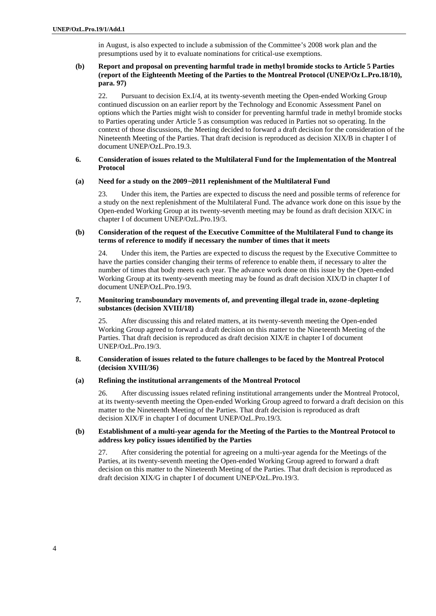in August, is also expected to include a submission of the Committee's 2008 work plan and the presumptions used by it to evaluate nominations for critical-use exemptions.

### **(b) Report and proposal on preventing harmful trade in methyl bromide stocks to Article 5 Parties (report of the Eighteenth Meeting of the Parties to the Montreal Protocol (UNEP/OzL.Pro.18/10), para. 97)**

22. Pursuant to decision Ex.I/4, at its twenty-seventh meeting the Open-ended Working Group continued discussion on an earlier report by the Technology and Economic Assessment Panel on options which the Parties might wish to consider for preventing harmful trade in methyl bromide stocks to Parties operating under Article 5 as consumption was reduced in Parties not so operating. In the context of those discussions, the Meeting decided to forward a draft decision for the consideration of the Nineteenth Meeting of the Parties. That draft decision is reproduced as decision XIX/B in chapter I of document UNEP/OzL.Pro.19.3.

#### **6. Consideration of issues related to the Multilateral Fund for the Implementation of the Montreal Protocol**

### **(a) Need for a study on the 2009-2011 replenishment of the Multilateral Fund**

23. Under this item, the Parties are expected to discuss the need and possible terms of reference for a study on the next replenishment of the Multilateral Fund. The advance work done on this issue by the Open-ended Working Group at its twenty-seventh meeting may be found as draft decision XIX/C in chapter I of document UNEP/OzL.Pro.19/3.

#### **(b) Consideration of the request of the Executive Committee of the Multilateral Fund to change its terms of reference to modify if necessary the number of times that it meets**

24. Under this item, the Parties are expected to discuss the request by the Executive Committee to have the parties consider changing their terms of reference to enable them, if necessary to alter the number of times that body meets each year. The advance work done on this issue by the Open-ended Working Group at its twenty-seventh meeting may be found as draft decision XIX/D in chapter I of document UNEP/OzL.Pro.19/3.

### **7. Monitoring transboundary movements of, and preventing illegal trade in, ozone-depleting substances (decision XVIII/18)**

25. After discussing this and related matters, at its twenty-seventh meeting the Open-ended Working Group agreed to forward a draft decision on this matter to the Nineteenth Meeting of the Parties. That draft decision is reproduced as draft decision XIX/E in chapter I of document UNEP/OzL.Pro.19/3.

#### **8. Consideration of issues related to the future challenges to be faced by the Montreal Protocol (decision XVIII/36)**

### **(a) Refining the institutional arrangements of the Montreal Protocol**

26. After discussing issues related refining institutional arrangements under the Montreal Protocol, at its twenty-seventh meeting the Open-ended Working Group agreed to forward a draft decision on this matter to the Nineteenth Meeting of the Parties. That draft decision is reproduced as draft decision XIX/F in chapter I of document UNEP/OzL.Pro.19/3.

### **(b) Establishment of a multi-year agenda for the Meeting of the Parties to the Montreal Protocol to address key policy issues identified by the Parties**

27. After considering the potential for agreeing on a multi-year agenda for the Meetings of the Parties, at its twenty-seventh meeting the Open-ended Working Group agreed to forward a draft decision on this matter to the Nineteenth Meeting of the Parties. That draft decision is reproduced as draft decision XIX/G in chapter I of document UNEP/OzL.Pro.19/3.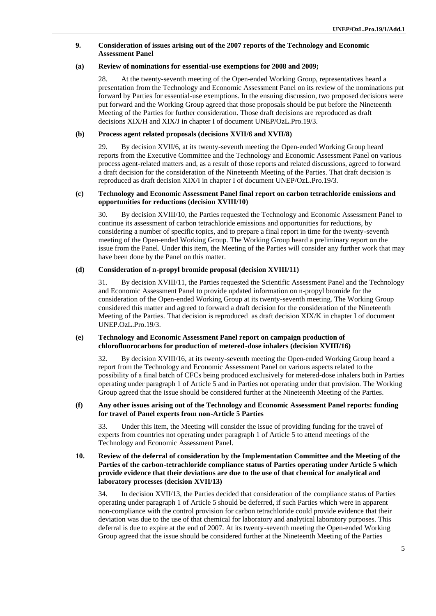### **9. Consideration of issues arising out of the 2007 reports of the Technology and Economic Assessment Panel**

#### **(a) Review of nominations for essential-use exemptions for 2008 and 2009;**

28. At the twenty-seventh meeting of the Open-ended Working Group, representatives heard a presentation from the Technology and Economic Assessment Panel on its review of the nominations put forward by Parties for essential-use exemptions. In the ensuing discussion, two proposed decisions were put forward and the Working Group agreed that those proposals should be put before the Nineteenth Meeting of the Parties for further consideration. Those draft decisions are reproduced as draft decisions XIX/H and XIX/J in chapter I of document UNEP/OzL.Pro.19/3.

### **(b) Process agent related proposals (decisions XVII/6 and XVII/8)**

29. By decision XVII/6, at its twenty-seventh meeting the Open-ended Working Group heard reports from the Executive Committee and the Technology and Economic Assessment Panel on various process agent-related matters and, as a result of those reports and related discussions, agreed to forward a draft decision for the consideration of the Nineteenth Meeting of the Parties. That draft decision is reproduced as draft decision XIX/I in chapter I of document UNEP/OzL.Pro.19/3.

### **(c) Technology and Economic Assessment Panel final report on carbon tetrachloride emissions and opportunities for reductions (decision XVIII/10)**

30. By decision XVIII/10, the Parties requested the Technology and Economic Assessment Panel to continue its assessment of carbon tetrachloride emissions and opportunities for reductions, by considering a number of specific topics, and to prepare a final report in time for the twenty-seventh meeting of the Open-ended Working Group. The Working Group heard a preliminary report on the issue from the Panel. Under this item, the Meeting of the Parties will consider any further work that may have been done by the Panel on this matter.

### **(d) Consideration of n-propyl bromide proposal (decision XVIII/11)**

31. By decision XVIII/11, the Parties requested the Scientific Assessment Panel and the Technology and Economic Assessment Panel to provide updated information on n-propyl bromide for the consideration of the Open-ended Working Group at its twenty-seventh meeting. The Working Group considered this matter and agreed to forward a draft decision for the consideration of the Nineteenth Meeting of the Parties. That decision is reproduced as draft decision XIX/K in chapter I of document UNEP.OzL.Pro.19/3.

### **(e) Technology and Economic Assessment Panel report on campaign production of chlorofluorocarbons for production of metered-dose inhalers (decision XVIII/16)**

32. By decision XVIII/16, at its twenty-seventh meeting the Open-ended Working Group heard a report from the Technology and Economic Assessment Panel on various aspects related to the possibility of a final batch of CFCs being produced exclusively for metered-dose inhalers both in Parties operating under paragraph 1 of Article 5 and in Parties not operating under that provision. The Working Group agreed that the issue should be considered further at the Nineteenth Meeting of the Parties.

#### **(f) Any other issues arising out of the Technology and Economic Assessment Panel reports: funding for travel of Panel experts from non-Article 5 Parties**

33. Under this item, the Meeting will consider the issue of providing funding for the travel of experts from countries not operating under paragraph 1 of Article 5 to attend meetings of the Technology and Economic Assessment Panel.

### **10. Review of the deferral of consideration by the Implementation Committee and the Meeting of the Parties of the carbon-tetrachloride compliance status of Parties operating under Article 5 which provide evidence that their deviations are due to the use of that chemical for analytical and laboratory processes (decision XVII/13)**

34. In decision XVII/13, the Parties decided that consideration of the compliance status of Parties operating under paragraph 1 of Article 5 should be deferred, if such Parties which were in apparent non-compliance with the control provision for carbon tetrachloride could provide evidence that their deviation was due to the use of that chemical for laboratory and analytical laboratory purposes. This deferral is due to expire at the end of 2007. At its twenty-seventh meeting the Open-ended Working Group agreed that the issue should be considered further at the Nineteenth Meeting of the Parties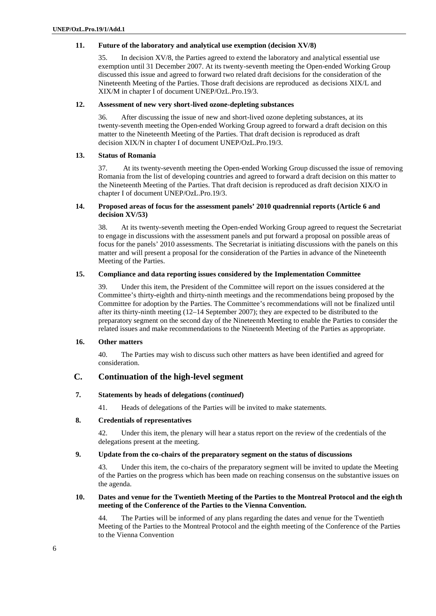### **11. Future of the laboratory and analytical use exemption (decision XV/8)**

35. In decision XV/8, the Parties agreed to extend the laboratory and analytical essential use exemption until 31 December 2007. At its twenty-seventh meeting the Open-ended Working Group discussed this issue and agreed to forward two related draft decisions for the consideration of the Nineteenth Meeting of the Parties. Those draft decisions are reproduced as decisions XIX/L and XIX/M in chapter I of document UNEP/OzL.Pro.19/3.

### **12. Assessment of new very short-lived ozone-depleting substances**

36. After discussing the issue of new and short-lived ozone depleting substances, at its twenty-seventh meeting the Open-ended Working Group agreed to forward a draft decision on this matter to the Nineteenth Meeting of the Parties. That draft decision is reproduced as draft decision XIX/N in chapter I of document UNEP/OzL.Pro.19/3.

### **13. Status of Romania**

37. At its twenty-seventh meeting the Open-ended Working Group discussed the issue of removing Romania from the list of developing countries and agreed to forward a draft decision on this matter to the Nineteenth Meeting of the Parties. That draft decision is reproduced as draft decision XIX/O in chapter I of document UNEP/OzL.Pro.19/3.

### **14. Proposed areas of focus for the assessment panels' 2010 quadrennial reports (Article 6 and decision XV/53)**

38. At its twenty-seventh meeting the Open-ended Working Group agreed to request the Secretariat to engage in discussions with the assessment panels and put forward a proposal on possible areas of focus for the panels' 2010 assessments. The Secretariat is initiating discussions with the panels on this matter and will present a proposal for the consideration of the Parties in advance of the Nineteenth Meeting of the Parties.

### **15. Compliance and data reporting issues considered by the Implementation Committee**

39. Under this item, the President of the Committee will report on the issues considered at the Committee's thirty-eighth and thirty-ninth meetings and the recommendations being proposed by the Committee for adoption by the Parties. The Committee's recommendations will not be finalized until after its thirty-ninth meeting (12–14 September 2007); they are expected to be distributed to the preparatory segment on the second day of the Nineteenth Meeting to enable the Parties to consider the related issues and make recommendations to the Nineteenth Meeting of the Parties as appropriate.

### **16. Other matters**

40. The Parties may wish to discuss such other matters as have been identified and agreed for consideration.

# **C. Continuation of the high-level segment**

### **7. Statements by heads of delegations (***continued***)**

41. Heads of delegations of the Parties will be invited to make statements.

### **8. Credentials of representatives**

42. Under this item, the plenary will hear a status report on the review of the credentials of the delegations present at the meeting.

### **9. Update from the co-chairs of the preparatory segment on the status of discussions**

43. Under this item, the co-chairs of the preparatory segment will be invited to update the Meeting of the Parties on the progress which has been made on reaching consensus on the substantive issues on the agenda.

### **10. Dates and venue for the Twentieth Meeting of the Parties to the Montreal Protocol and the eigh th meeting of the Conference of the Parties to the Vienna Convention.**

44. The Parties will be informed of any plans regarding the dates and venue for the Twentieth Meeting of the Parties to the Montreal Protocol and the eighth meeting of the Conference of the Parties to the Vienna Convention